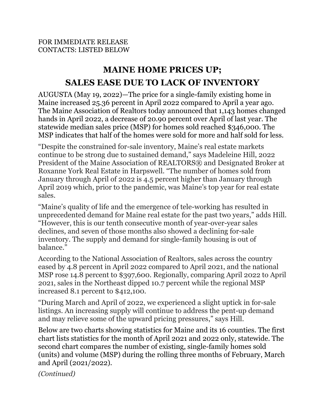## **MAINE HOME PRICES UP; SALES EASE DUE TO LACK OF INVENTORY**

AUGUSTA (May 19, 2022)—The price for a single-family existing home in Maine increased 25.36 percent in April 2022 compared to April a year ago. The Maine Association of Realtors today announced that 1,143 homes changed hands in April 2022, a decrease of 20.90 percent over April of last year. The statewide median sales price (MSP) for homes sold reached \$346,000. The MSP indicates that half of the homes were sold for more and half sold for less.

"Despite the constrained for-sale inventory, Maine's real estate markets continue to be strong due to sustained demand," says Madeleine Hill, 2022 President of the Maine Association of REALTORS® and Designated Broker at Roxanne York Real Estate in Harpswell. "The number of homes sold from January through April of 2022 is 4.5 percent higher than January through April 2019 which, prior to the pandemic, was Maine's top year for real estate sales.

"Maine's quality of life and the emergence of tele-working has resulted in unprecedented demand for Maine real estate for the past two years," adds Hill. "However, this is our tenth consecutive month of year-over-year sales declines, and seven of those months also showed a declining for-sale inventory. The supply and demand for single-family housing is out of balance."

According to the National Association of Realtors, sales across the country eased by 4.8 percent in April 2022 compared to April 2021, and the national MSP rose 14.8 percent to \$397,600. Regionally, comparing April 2022 to April 2021, sales in the Northeast dipped 10.7 percent while the regional MSP increased 8.1 percent to \$412,100.

"During March and April of 2022, we experienced a slight uptick in for-sale listings. An increasing supply will continue to address the pent-up demand and may relieve some of the upward pricing pressures," says Hill.

Below are two charts showing statistics for Maine and its 16 counties. The first chart lists statistics for the month of April 2021 and 2022 only, statewide. The second chart compares the number of existing, single-family homes sold (units) and volume (MSP) during the rolling three months of February, March and April (2021/2022).

*(Continued)*